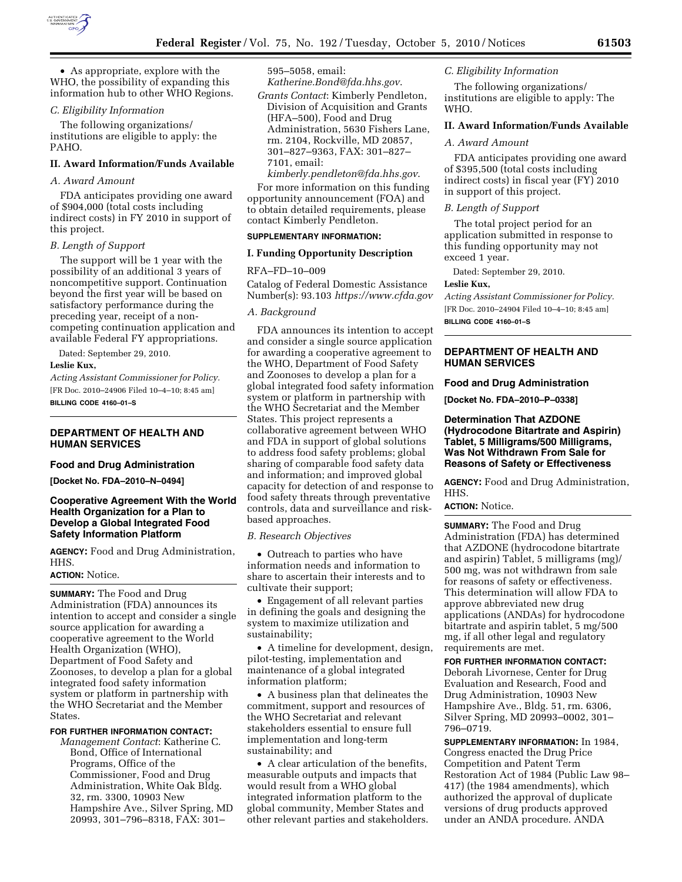

• As appropriate, explore with the WHO, the possibility of expanding this information hub to other WHO Regions.

## *C. Eligibility Information*

The following organizations/ institutions are eligible to apply: the PAHO.

# **II. Award Information/Funds Available**

## *A. Award Amount*

FDA anticipates providing one award of \$904,000 (total costs including indirect costs) in FY 2010 in support of this project.

### *B. Length of Support*

The support will be 1 year with the possibility of an additional 3 years of noncompetitive support. Continuation beyond the first year will be based on satisfactory performance during the preceding year, receipt of a noncompeting continuation application and available Federal FY appropriations.

Dated: September 29, 2010. **Leslie Kux,** 

*Acting Assistant Commissioner for Policy.*  [FR Doc. 2010–24906 Filed 10–4–10; 8:45 am] **BILLING CODE 4160–01–S** 

# **DEPARTMENT OF HEALTH AND HUMAN SERVICES**

## **Food and Drug Administration**

**[Docket No. FDA–2010–N–0494]** 

# **Cooperative Agreement With the World Health Organization for a Plan to Develop a Global Integrated Food Safety Information Platform**

**AGENCY:** Food and Drug Administration, HHS.

## **ACTION:** Notice.

**SUMMARY:** The Food and Drug Administration (FDA) announces its intention to accept and consider a single source application for awarding a cooperative agreement to the World Health Organization (WHO), Department of Food Safety and Zoonoses, to develop a plan for a global integrated food safety information system or platform in partnership with the WHO Secretariat and the Member States.

### **FOR FURTHER INFORMATION CONTACT:**

*Management Contact*: Katherine C. Bond, Office of International Programs, Office of the Commissioner, Food and Drug Administration, White Oak Bldg. 32, rm. 3300, 10903 New Hampshire Ave., Silver Spring, MD 20993, 301–796–8318, FAX: 301–

595–5058, email: *[Katherine.Bond@fda.hhs.gov](mailto:Katherine.Bond@fda.hhs.gov)*.

*Grants Contact*: Kimberly Pendleton, Division of Acquisition and Grants (HFA–500), Food and Drug Administration, 5630 Fishers Lane, rm. 2104, Rockville, MD 20857, 301–827–9363, FAX: 301–827– 7101, email:

*[kimberly.pendleton@fda.hhs.gov](mailto:kimberly.pendleton@fda.hhs.gov)*.

For more information on this funding opportunity announcement (FOA) and to obtain detailed requirements, please contact Kimberly Pendleton.

## **SUPPLEMENTARY INFORMATION:**

#### **I. Funding Opportunity Description**

RFA–FD–10–009

Catalog of Federal Domestic Assistance Number(s): 93.103 *<https://www.cfda.gov>*

## *A. Background*

FDA announces its intention to accept and consider a single source application for awarding a cooperative agreement to the WHO, Department of Food Safety and Zoonoses to develop a plan for a global integrated food safety information system or platform in partnership with the WHO Secretariat and the Member States. This project represents a collaborative agreement between WHO and FDA in support of global solutions to address food safety problems; global sharing of comparable food safety data and information; and improved global capacity for detection of and response to food safety threats through preventative controls, data and surveillance and riskbased approaches.

### *B. Research Objectives*

• Outreach to parties who have information needs and information to share to ascertain their interests and to cultivate their support;

• Engagement of all relevant parties in defining the goals and designing the system to maximize utilization and sustainability;

• A timeline for development, design, pilot-testing, implementation and maintenance of a global integrated information platform;

• A business plan that delineates the commitment, support and resources of the WHO Secretariat and relevant stakeholders essential to ensure full implementation and long-term sustainability; and

• A clear articulation of the benefits, measurable outputs and impacts that would result from a WHO global integrated information platform to the global community, Member States and other relevant parties and stakeholders.

# *C. Eligibility Information*

The following organizations/ institutions are eligible to apply: The WHO.

# **II. Award Information/Funds Available**

#### *A. Award Amount*

FDA anticipates providing one award of \$395,500 (total costs including indirect costs) in fiscal year (FY) 2010 in support of this project.

### *B. Length of Support*

The total project period for an application submitted in response to this funding opportunity may not exceed 1 year.

Dated: September 29, 2010.

#### **Leslie Kux,**

*Acting Assistant Commissioner for Policy.*  [FR Doc. 2010–24904 Filed 10–4–10; 8:45 am]

**BILLING CODE 4160–01–S** 

## **DEPARTMENT OF HEALTH AND HUMAN SERVICES**

# **Food and Drug Administration**

**[Docket No. FDA–2010–P–0338]** 

### **Determination That AZDONE**

**(Hydrocodone Bitartrate and Aspirin) Tablet, 5 Milligrams/500 Milligrams, Was Not Withdrawn From Sale for Reasons of Safety or Effectiveness** 

**AGENCY:** Food and Drug Administration, HHS.

## **ACTION:** Notice.

**SUMMARY:** The Food and Drug Administration (FDA) has determined that AZDONE (hydrocodone bitartrate and aspirin) Tablet, 5 milligrams (mg)/ 500 mg, was not withdrawn from sale for reasons of safety or effectiveness. This determination will allow FDA to approve abbreviated new drug applications (ANDAs) for hydrocodone bitartrate and aspirin tablet, 5 mg/500 mg, if all other legal and regulatory requirements are met.

**FOR FURTHER INFORMATION CONTACT:**  Deborah Livornese, Center for Drug Evaluation and Research, Food and Drug Administration, 10903 New Hampshire Ave., Bldg. 51, rm. 6306, Silver Spring, MD 20993–0002, 301– 796–0719.

**SUPPLEMENTARY INFORMATION:** In 1984, Congress enacted the Drug Price Competition and Patent Term Restoration Act of 1984 (Public Law 98– 417) (the 1984 amendments), which authorized the approval of duplicate versions of drug products approved under an ANDA procedure. ANDA